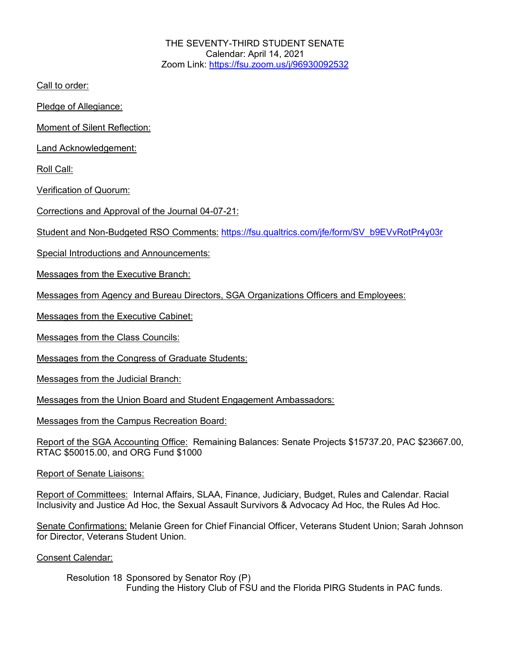THE SEVENTY-THIRD STUDENT SENATE Calendar: April 14, 2021 Zoom Link: https://fsu.zoom.us/j/96930092532

Call to order:

Pledge of Allegiance:

Moment of Silent Reflection:

Land Acknowledgement:

Roll Call:

Verification of Quorum:

Corrections and Approval of the Journal 04-07-21:

Student and Non-Budgeted RSO Comments: https://fsu.qualtrics.com/jfe/form/SV\_b9EVvRotPr4y03r

Special Introductions and Announcements:

Messages from the Executive Branch:

Messages from Agency and Bureau Directors, SGA Organizations Officers and Employees:

Messages from the Executive Cabinet:

Messages from the Class Councils:

Messages from the Congress of Graduate Students:

Messages from the Judicial Branch:

Messages from the Union Board and Student Engagement Ambassadors:

Messages from the Campus Recreation Board:

Report of the SGA Accounting Office: Remaining Balances: Senate Projects \$15737.20, PAC \$23667.00, RTAC \$50015.00, and ORG Fund \$1000

Report of Senate Liaisons:

Report of Committees: Internal Affairs, SLAA, Finance, Judiciary, Budget, Rules and Calendar. Racial Inclusivity and Justice Ad Hoc, the Sexual Assault Survivors & Advocacy Ad Hoc, the Rules Ad Hoc.

Senate Confirmations: Melanie Green for Chief Financial Officer, Veterans Student Union; Sarah Johnson for Director, Veterans Student Union.

Consent Calendar:

Resolution 18 Sponsored by Senator Roy (P) Funding the History Club of FSU and the Florida PIRG Students in PAC funds.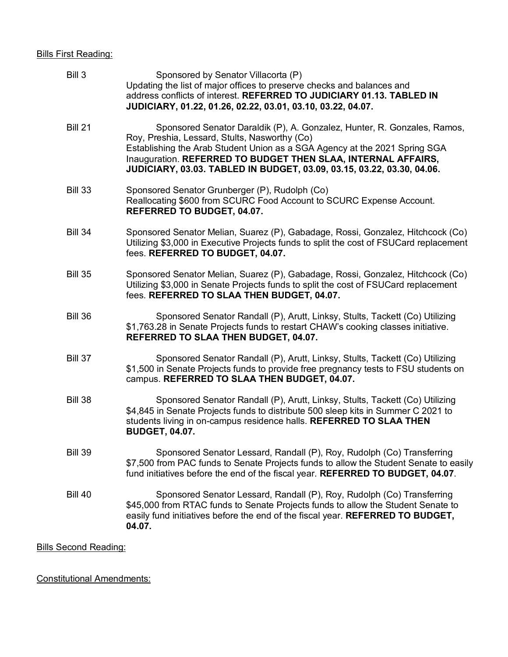## Bills First Reading:

| Bill 3                       | Sponsored by Senator Villacorta (P)<br>Updating the list of major offices to preserve checks and balances and<br>address conflicts of interest. REFERRED TO JUDICIARY 01.13. TABLED IN<br>JUDICIARY, 01.22, 01.26, 02.22, 03.01, 03.10, 03.22, 04.07.                                                                                              |
|------------------------------|----------------------------------------------------------------------------------------------------------------------------------------------------------------------------------------------------------------------------------------------------------------------------------------------------------------------------------------------------|
| <b>Bill 21</b>               | Sponsored Senator Daraldik (P), A. Gonzalez, Hunter, R. Gonzales, Ramos,<br>Roy, Preshia, Lessard, Stults, Nasworthy (Co)<br>Establishing the Arab Student Union as a SGA Agency at the 2021 Spring SGA<br>Inauguration. REFERRED TO BUDGET THEN SLAA, INTERNAL AFFAIRS,<br>JUDICIARY, 03.03. TABLED IN BUDGET, 03.09, 03.15, 03.22, 03.30, 04.06. |
| <b>Bill 33</b>               | Sponsored Senator Grunberger (P), Rudolph (Co)<br>Reallocating \$600 from SCURC Food Account to SCURC Expense Account.<br>REFERRED TO BUDGET, 04.07.                                                                                                                                                                                               |
| <b>Bill 34</b>               | Sponsored Senator Melian, Suarez (P), Gabadage, Rossi, Gonzalez, Hitchcock (Co)<br>Utilizing \$3,000 in Executive Projects funds to split the cost of FSUCard replacement<br>fees. REFERRED TO BUDGET, 04.07.                                                                                                                                      |
| <b>Bill 35</b>               | Sponsored Senator Melian, Suarez (P), Gabadage, Rossi, Gonzalez, Hitchcock (Co)<br>Utilizing \$3,000 in Senate Projects funds to split the cost of FSUCard replacement<br>fees. REFERRED TO SLAA THEN BUDGET, 04.07.                                                                                                                               |
| <b>Bill 36</b>               | Sponsored Senator Randall (P), Arutt, Linksy, Stults, Tackett (Co) Utilizing<br>\$1,763.28 in Senate Projects funds to restart CHAW's cooking classes initiative.<br>REFERRED TO SLAA THEN BUDGET, 04.07.                                                                                                                                          |
| <b>Bill 37</b>               | Sponsored Senator Randall (P), Arutt, Linksy, Stults, Tackett (Co) Utilizing<br>\$1,500 in Senate Projects funds to provide free pregnancy tests to FSU students on<br>campus. REFERRED TO SLAA THEN BUDGET, 04.07.                                                                                                                                |
| <b>Bill 38</b>               | Sponsored Senator Randall (P), Arutt, Linksy, Stults, Tackett (Co) Utilizing<br>\$4,845 in Senate Projects funds to distribute 500 sleep kits in Summer C 2021 to<br>students living in on-campus residence halls. REFERRED TO SLAA THEN<br><b>BUDGET, 04.07.</b>                                                                                  |
| <b>Bill 39</b>               | Sponsored Senator Lessard, Randall (P), Roy, Rudolph (Co) Transferring<br>\$7,500 from PAC funds to Senate Projects funds to allow the Student Senate to easily<br>fund initiatives before the end of the fiscal year. REFERRED TO BUDGET, 04.07.                                                                                                  |
| <b>Bill 40</b>               | Sponsored Senator Lessard, Randall (P), Roy, Rudolph (Co) Transferring<br>\$45,000 from RTAC funds to Senate Projects funds to allow the Student Senate to<br>easily fund initiatives before the end of the fiscal year. REFERRED TO BUDGET,<br>04.07.                                                                                             |
| <b>Bills Second Reading:</b> |                                                                                                                                                                                                                                                                                                                                                    |

Constitutional Amendments: